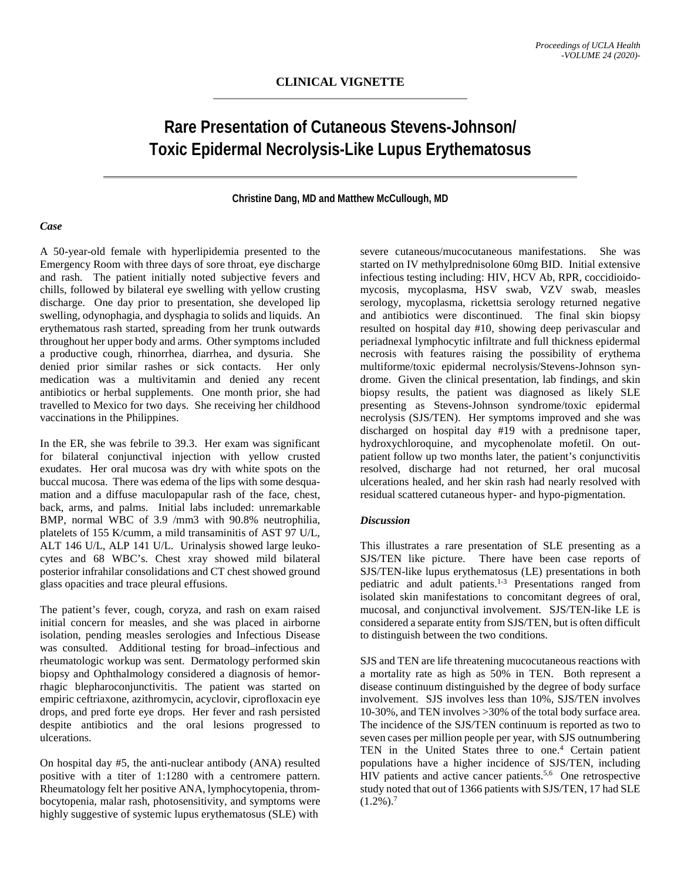# **Rare Presentation of Cutaneous Stevens-Johnson/ Toxic Epidermal Necrolysis-Like Lupus Erythematosus**

### **Christine Dang, MD and Matthew McCullough, MD**

## *Case*

A 50-year-old female with hyperlipidemia presented to the Emergency Room with three days of sore throat, eye discharge and rash. The patient initially noted subjective fevers and chills, followed by bilateral eye swelling with yellow crusting discharge. One day prior to presentation, she developed lip swelling, odynophagia, and dysphagia to solids and liquids. An erythematous rash started, spreading from her trunk outwards throughout her upper body and arms. Other symptoms included a productive cough, rhinorrhea, diarrhea, and dysuria. She denied prior similar rashes or sick contacts. Her only medication was a multivitamin and denied any recent antibiotics or herbal supplements. One month prior, she had travelled to Mexico for two days. She receiving her childhood vaccinations in the Philippines.

In the ER, she was febrile to 39.3. Her exam was significant for bilateral conjunctival injection with yellow crusted exudates. Her oral mucosa was dry with white spots on the buccal mucosa. There was edema of the lips with some desquamation and a diffuse maculopapular rash of the face, chest, back, arms, and palms. Initial labs included: unremarkable BMP, normal WBC of 3.9 /mm3 with 90.8% neutrophilia, platelets of 155 K/cumm, a mild transaminitis of AST 97 U/L, ALT 146 U/L, ALP 141 U/L. Urinalysis showed large leukocytes and 68 WBC's. Chest xray showed mild bilateral posterior infrahilar consolidations and CT chest showed ground glass opacities and trace pleural effusions.

The patient's fever, cough, coryza, and rash on exam raised initial concern for measles, and she was placed in airborne isolation, pending measles serologies and Infectious Disease was consulted. Additional testing for broad-infectious and rheumatologic workup was sent. Dermatology performed skin biopsy and Ophthalmology considered a diagnosis of hemorrhagic blepharoconjunctivitis. The patient was started on empiric ceftriaxone, azithromycin, acyclovir, ciprofloxacin eye drops, and pred forte eye drops. Her fever and rash persisted despite antibiotics and the oral lesions progressed to ulcerations.

On hospital day #5, the anti-nuclear antibody (ANA) resulted positive with a titer of 1:1280 with a centromere pattern. Rheumatology felt her positive ANA, lymphocytopenia, thrombocytopenia, malar rash, photosensitivity, and symptoms were highly suggestive of systemic lupus erythematosus (SLE) with

severe cutaneous/mucocutaneous manifestations. She was started on IV methylprednisolone 60mg BID. Initial extensive infectious testing including: HIV, HCV Ab, RPR, coccidioidomycosis, mycoplasma, HSV swab, VZV swab, measles serology, mycoplasma, rickettsia serology returned negative and antibiotics were discontinued. The final skin biopsy resulted on hospital day #10, showing deep perivascular and periadnexal lymphocytic infiltrate and full thickness epidermal necrosis with features raising the possibility of erythema multiforme/toxic epidermal necrolysis/Stevens-Johnson syndrome. Given the clinical presentation, lab findings, and skin biopsy results, the patient was diagnosed as likely SLE presenting as Stevens-Johnson syndrome/toxic epidermal necrolysis (SJS/TEN). Her symptoms improved and she was discharged on hospital day #19 with a prednisone taper, hydroxychloroquine, and mycophenolate mofetil. On outpatient follow up two months later, the patient's conjunctivitis resolved, discharge had not returned, her oral mucosal ulcerations healed, and her skin rash had nearly resolved with residual scattered cutaneous hyper- and hypo-pigmentation.

## *Discussion*

This illustrates a rare presentation of SLE presenting as a SJS/TEN like picture. There have been case reports of SJS/TEN-like lupus erythematosus (LE) presentations in both pediatric and adult patients.1-3 Presentations ranged from isolated skin manifestations to concomitant degrees of oral, mucosal, and conjunctival involvement. SJS/TEN-like LE is considered a separate entity from SJS/TEN, but is often difficult to distinguish between the two conditions.

SJS and TEN are life threatening mucocutaneous reactions with a mortality rate as high as 50% in TEN. Both represent a disease continuum distinguished by the degree of body surface involvement. SJS involves less than 10%, SJS/TEN involves 10-30%, and TEN involves >30% of the total body surface area. The incidence of the SJS/TEN continuum is reported as two to seven cases per million people per year, with SJS outnumbering TEN in the United States three to one.<sup>4</sup> Certain patient populations have a higher incidence of SJS/TEN, including HIV patients and active cancer patients.<sup>5,6</sup> One retrospective study noted that out of 1366 patients with SJS/TEN, 17 had SLE  $(1.2\%)$ .<sup>7</sup>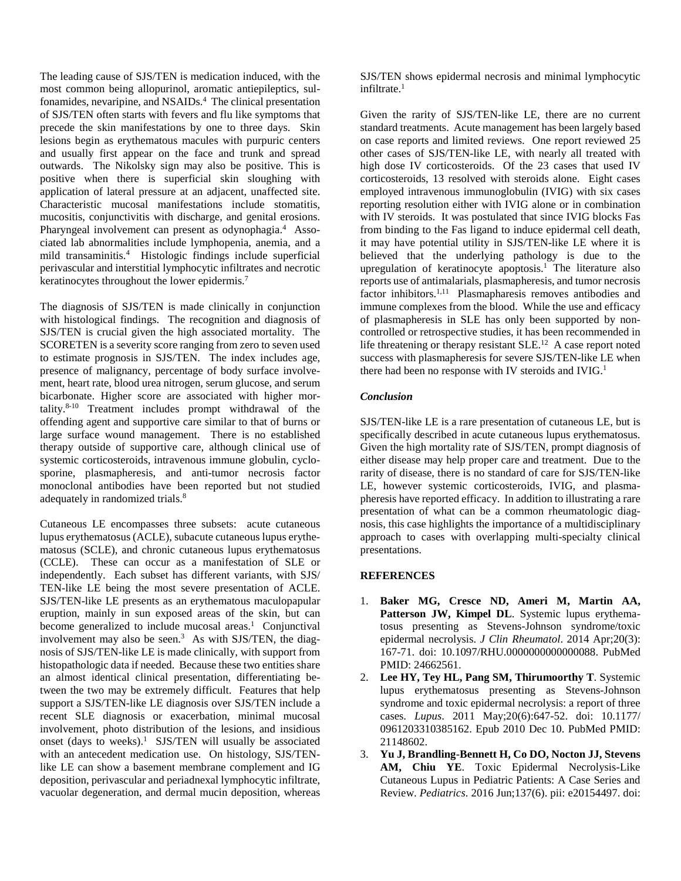The leading cause of SJS/TEN is medication induced, with the most common being allopurinol, aromatic antiepileptics, sulfonamides, nevaripine, and NSAIDs.<sup>4</sup> The clinical presentation of SJS/TEN often starts with fevers and flu like symptoms that precede the skin manifestations by one to three days. Skin lesions begin as erythematous macules with purpuric centers and usually first appear on the face and trunk and spread outwards. The Nikolsky sign may also be positive. This is positive when there is superficial skin sloughing with application of lateral pressure at an adjacent, unaffected site. Characteristic mucosal manifestations include stomatitis, mucositis, conjunctivitis with discharge, and genital erosions. Pharyngeal involvement can present as odynophagia.<sup>4</sup> Associated lab abnormalities include lymphopenia, anemia, and a mild transaminitis.4 Histologic findings include superficial perivascular and interstitial lymphocytic infiltrates and necrotic keratinocytes throughout the lower epidermis.<sup>7</sup>

The diagnosis of SJS/TEN is made clinically in conjunction with histological findings. The recognition and diagnosis of SJS/TEN is crucial given the high associated mortality. The SCORETEN is a severity score ranging from zero to seven used to estimate prognosis in SJS/TEN. The index includes age, presence of malignancy, percentage of body surface involvement, heart rate, blood urea nitrogen, serum glucose, and serum bicarbonate. Higher score are associated with higher mortality.8-10 Treatment includes prompt withdrawal of the offending agent and supportive care similar to that of burns or large surface wound management. There is no established therapy outside of supportive care, although clinical use of systemic corticosteroids, intravenous immune globulin, cyclosporine, plasmapheresis, and anti-tumor necrosis factor monoclonal antibodies have been reported but not studied adequately in randomized trials.<sup>8</sup>

Cutaneous LE encompasses three subsets: acute cutaneous lupus erythematosus (ACLE), subacute cutaneous lupus erythematosus (SCLE), and chronic cutaneous lupus erythematosus (CCLE). These can occur as a manifestation of SLE or independently. Each subset has different variants, with SJS/ TEN-like LE being the most severe presentation of ACLE. SJS/TEN-like LE presents as an erythematous maculopapular eruption, mainly in sun exposed areas of the skin, but can become generalized to include mucosal areas.<sup>1</sup> Conjunctival involvement may also be seen.<sup>3</sup> As with SJS/TEN, the diagnosis of SJS/TEN-like LE is made clinically, with support from histopathologic data if needed. Because these two entities share an almost identical clinical presentation, differentiating between the two may be extremely difficult. Features that help support a SJS/TEN-like LE diagnosis over SJS/TEN include a recent SLE diagnosis or exacerbation, minimal mucosal involvement, photo distribution of the lesions, and insidious onset (days to weeks). $1$  SJS/TEN will usually be associated with an antecedent medication use. On histology, SJS/TENlike LE can show a basement membrane complement and IG deposition, perivascular and periadnexal lymphocytic infiltrate, vacuolar degeneration, and dermal mucin deposition, whereas

SJS/TEN shows epidermal necrosis and minimal lymphocytic infiltrate.<sup>1</sup>

Given the rarity of SJS/TEN-like LE, there are no current standard treatments. Acute management has been largely based on case reports and limited reviews. One report reviewed 25 other cases of SJS/TEN-like LE, with nearly all treated with high dose IV corticosteroids. Of the 23 cases that used IV corticosteroids, 13 resolved with steroids alone. Eight cases employed intravenous immunoglobulin (IVIG) with six cases reporting resolution either with IVIG alone or in combination with IV steroids. It was postulated that since IVIG blocks Fas from binding to the Fas ligand to induce epidermal cell death, it may have potential utility in SJS/TEN-like LE where it is believed that the underlying pathology is due to the upregulation of keratinocyte apoptosis.<sup>1</sup> The literature also reports use of antimalarials, plasmapheresis, and tumor necrosis factor inhibitors.<sup>1,11</sup> Plasmapharesis removes antibodies and immune complexes from the blood. While the use and efficacy of plasmapheresis in SLE has only been supported by noncontrolled or retrospective studies, it has been recommended in life threatening or therapy resistant  $SLE<sup>12</sup>$  A case report noted success with plasmapheresis for severe SJS/TEN-like LE when there had been no response with IV steroids and IVIG.<sup>1</sup>

## *Conclusion*

SJS/TEN-like LE is a rare presentation of cutaneous LE, but is specifically described in acute cutaneous lupus erythematosus. Given the high mortality rate of SJS/TEN, prompt diagnosis of either disease may help proper care and treatment. Due to the rarity of disease, there is no standard of care for SJS/TEN-like LE, however systemic corticosteroids, IVIG, and plasmapheresis have reported efficacy. In addition to illustrating a rare presentation of what can be a common rheumatologic diagnosis, this case highlights the importance of a multidisciplinary approach to cases with overlapping multi-specialty clinical presentations.

#### **REFERENCES**

- 1. **Baker MG, Cresce ND, Ameri M, Martin AA, Patterson JW, Kimpel DL**. Systemic lupus erythematosus presenting as Stevens-Johnson syndrome/toxic epidermal necrolysis. *J Clin Rheumatol*. 2014 Apr;20(3): 167-71. doi: 10.1097/RHU.0000000000000088. PubMed PMID: 24662561.
- 2. **Lee HY, Tey HL, Pang SM, Thirumoorthy T**. Systemic lupus erythematosus presenting as Stevens-Johnson syndrome and toxic epidermal necrolysis: a report of three cases. *Lupus*. 2011 May;20(6):647-52. doi: 10.1177/ 0961203310385162. Epub 2010 Dec 10. PubMed PMID: 21148602.
- 3. **Yu J, Brandling-Bennett H, Co DO, Nocton JJ, Stevens AM, Chiu YE**. Toxic Epidermal Necrolysis-Like Cutaneous Lupus in Pediatric Patients: A Case Series and Review. *Pediatrics*. 2016 Jun;137(6). pii: e20154497. doi: